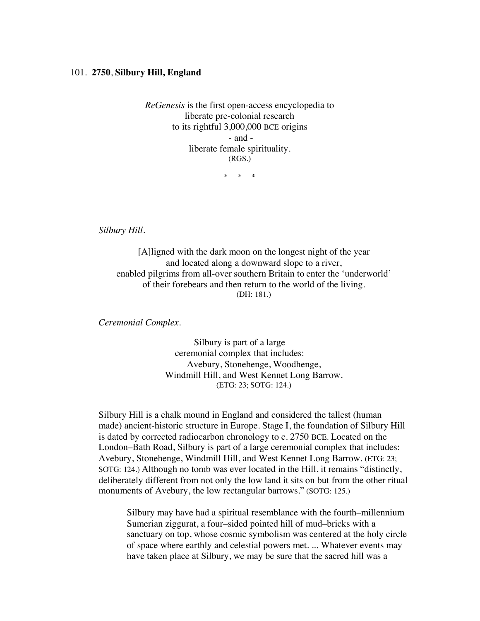## 101. **2750**, **Silbury Hill, England**

*ReGenesis* is the first open-access encyclopedia to liberate pre-colonial research to its rightful 3,000,000 BCE origins - and liberate female spirituality. (RGS.)

\* \* \*

*Silbury Hill.*

[A]ligned with the dark moon on the longest night of the year and located along a downward slope to a river, enabled pilgrims from all-over southern Britain to enter the 'underworld' of their forebears and then return to the world of the living. (DH: 181.)

*Ceremonial Complex.*

Silbury is part of a large ceremonial complex that includes: Avebury, Stonehenge, Woodhenge, Windmill Hill, and West Kennet Long Barrow. (ETG: 23; SOTG: 124.)

Silbury Hill is a chalk mound in England and considered the tallest (human made) ancient-historic structure in Europe. Stage I, the foundation of Silbury Hill is dated by corrected radiocarbon chronology to c. 2750 BCE. Located on the London–Bath Road, Silbury is part of a large ceremonial complex that includes: Avebury, Stonehenge, Windmill Hill, and West Kennet Long Barrow. (ETG: 23; SOTG: 124.) Although no tomb was ever located in the Hill, it remains "distinctly, deliberately different from not only the low land it sits on but from the other ritual monuments of Avebury, the low rectangular barrows." (SOTG: 125.)

Silbury may have had a spiritual resemblance with the fourth–millennium Sumerian ziggurat, a four–sided pointed hill of mud–bricks with a sanctuary on top, whose cosmic symbolism was centered at the holy circle of space where earthly and celestial powers met. ... Whatever events may have taken place at Silbury, we may be sure that the sacred hill was a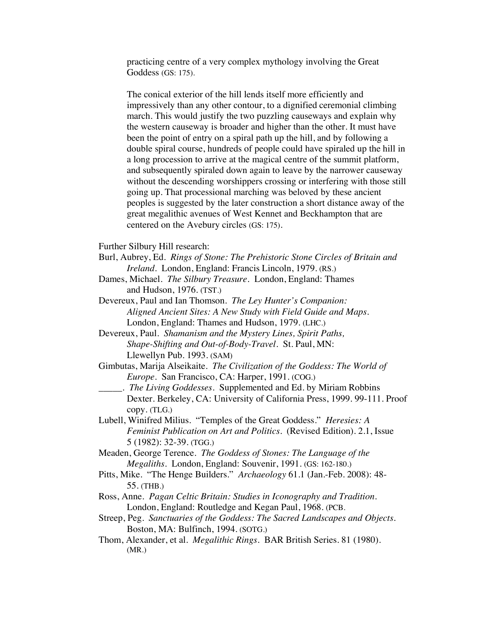practicing centre of a very complex mythology involving the Great Goddess (GS: 175).

The conical exterior of the hill lends itself more efficiently and impressively than any other contour, to a dignified ceremonial climbing march. This would justify the two puzzling causeways and explain why the western causeway is broader and higher than the other. It must have been the point of entry on a spiral path up the hill, and by following a double spiral course, hundreds of people could have spiraled up the hill in a long procession to arrive at the magical centre of the summit platform, and subsequently spiraled down again to leave by the narrower causeway without the descending worshippers crossing or interfering with those still going up. That processional marching was beloved by these ancient peoples is suggested by the later construction a short distance away of the great megalithic avenues of West Kennet and Beckhampton that are centered on the Avebury circles (GS: 175).

Further Silbury Hill research:

- Burl, Aubrey, Ed. *Rings of Stone: The Prehistoric Stone Circles of Britain and Ireland*. London, England: Francis Lincoln, 1979. (RS.)
- Dames, Michael. *The Silbury Treasure.* London, England: Thames and Hudson, 1976. (TST.)
- Devereux, Paul and Ian Thomson. *The Ley Hunter's Companion: Aligned Ancient Sites: A New Study with Field Guide and Maps.* London, England: Thames and Hudson, 1979. (LHC.)
- Devereux, Paul. *Shamanism and the Mystery Lines, Spirit Paths, Shape-Shifting and Out-of-Body-Travel.* St. Paul, MN: Llewellyn Pub. 1993. (SAM)
- Gimbutas, Marija Alseikaite. *The Civilization of the Goddess: The World of Europe*. San Francisco, CA: Harper, 1991. (COG.)
- \_\_\_\_\_*. The Living Goddesses*. Supplemented and Ed. by Miriam Robbins Dexter. Berkeley, CA: University of California Press, 1999. 99-111. Proof copy. (TLG.)
- Lubell, Winifred Milius. "Temples of the Great Goddess." *Heresies: A Feminist Publication on Art and Politics.* (Revised Edition). 2.1, Issue 5 (1982): 32-39. (TGG.)
- Meaden, George Terence. *The Goddess of Stones: The Language of the Megaliths*. London, England: Souvenir, 1991. (GS: 162-180.)
- Pitts, Mike. "The Henge Builders." *Archaeology* 61.1 (Jan.-Feb. 2008): 48- 55. (THB.)
- Ross, Anne. *Pagan Celtic Britain: Studies in Iconography and Tradition*. London, England: Routledge and Kegan Paul, 1968. (PCB.
- Streep, Peg. *Sanctuaries of the Goddess: The Sacred Landscapes and Objects.* Boston, MA: Bulfinch, 1994. (SOTG.)
- Thom, Alexander, et al. *Megalithic Rings*. BAR British Series. 81 (1980). (MR.)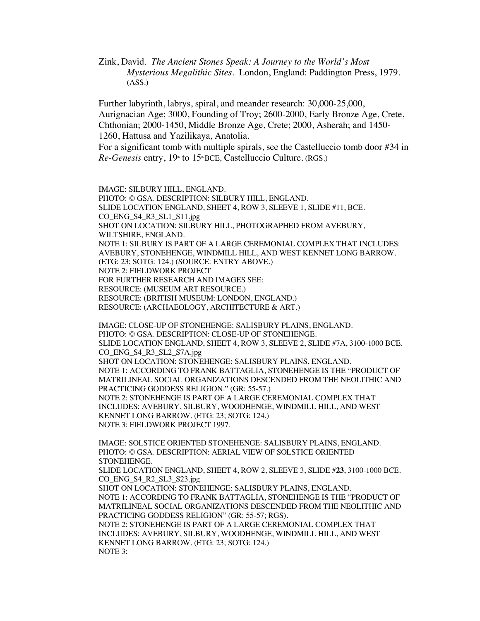Zink, David. *The Ancient Stones Speak: A Journey to the World's Most Mysterious Megalithic Sites*. London, England: Paddington Press, 1979. (ASS.)

Further labyrinth, labrys, spiral, and meander research: 30,000-25,000, Aurignacian Age; 3000, Founding of Troy; 2600-2000, Early Bronze Age, Crete, Chthonian; 2000-1450, Middle Bronze Age, Crete; 2000, Asherah; and 1450- 1260, Hattusa and Yazilikaya, Anatolia.

For a significant tomb with multiple spirals, see the Castelluccio tomb door #34 in *Re-Genesis* entry, 19<sup>th</sup> to 15<sup>th</sup> BCE, Castelluccio Culture. (RGS.)

IMAGE: SILBURY HILL, ENGLAND. PHOTO: © GSA. DESCRIPTION: SILBURY HILL, ENGLAND.

SLIDE LOCATION ENGLAND, SHEET 4, ROW 3, SLEEVE 1, SLIDE #11, BCE. CO\_ENG\_S4\_R3\_SL1\_S11.jpg SHOT ON LOCATION: SILBURY HILL, PHOTOGRAPHED FROM AVEBURY, WILTSHIRE, ENGLAND. NOTE 1: SILBURY IS PART OF A LARGE CEREMONIAL COMPLEX THAT INCLUDES: AVEBURY, STONEHENGE, WINDMILL HILL, AND WEST KENNET LONG BARROW. (ETG: 23; SOTG: 124.) (SOURCE: ENTRY ABOVE.)

NOTE 2: FIELDWORK PROJECT

FOR FURTHER RESEARCH AND IMAGES SEE:

RESOURCE: (MUSEUM ART RESOURCE.)

RESOURCE: (BRITISH MUSEUM: LONDON, ENGLAND.)

RESOURCE: (ARCHAEOLOGY, ARCHITECTURE & ART.)

IMAGE: CLOSE-UP OF STONEHENGE: SALISBURY PLAINS, ENGLAND. PHOTO: © GSA. DESCRIPTION: CLOSE-UP OF STONEHENGE. SLIDE LOCATION ENGLAND, SHEET 4, ROW 3, SLEEVE 2, SLIDE #7A, 3100-1000 BCE. CO\_ENG\_S4\_R3\_SL2\_S7A.jpg SHOT ON LOCATION: STONEHENGE: SALISBURY PLAINS, ENGLAND. NOTE 1: ACCORDING TO FRANK BATTAGLIA, STONEHENGE IS THE "PRODUCT OF MATRILINEAL SOCIAL ORGANIZATIONS DESCENDED FROM THE NEOLITHIC AND PRACTICING GODDESS RELIGION." (GR: 55-57.) NOTE 2: STONEHENGE IS PART OF A LARGE CEREMONIAL COMPLEX THAT INCLUDES: AVEBURY, SILBURY, WOODHENGE, WINDMILL HILL, AND WEST KENNET LONG BARROW. (ETG: 23; SOTG: 124.) NOTE 3: FIELDWORK PROJECT 1997.

IMAGE: SOLSTICE ORIENTED STONEHENGE: SALISBURY PLAINS, ENGLAND. PHOTO: © GSA. DESCRIPTION: AERIAL VIEW OF SOLSTICE ORIENTED STONEHENGE.

SLIDE LOCATION ENGLAND, SHEET 4, ROW 2, SLEEVE 3, SLIDE #**23**, 3100-1000 BCE. CO\_ENG\_S4\_R2\_SL3\_S23.jpg

SHOT ON LOCATION: STONEHENGE: SALISBURY PLAINS, ENGLAND. NOTE 1: ACCORDING TO FRANK BATTAGLIA, STONEHENGE IS THE "PRODUCT OF MATRILINEAL SOCIAL ORGANIZATIONS DESCENDED FROM THE NEOLITHIC AND PRACTICING GODDESS RELIGION" (GR: 55-57; RGS). NOTE 2: STONEHENGE IS PART OF A LARGE CEREMONIAL COMPLEX THAT

INCLUDES: AVEBURY, SILBURY, WOODHENGE, WINDMILL HILL, AND WEST KENNET LONG BARROW. (ETG: 23; SOTG: 124.) NOTE 3: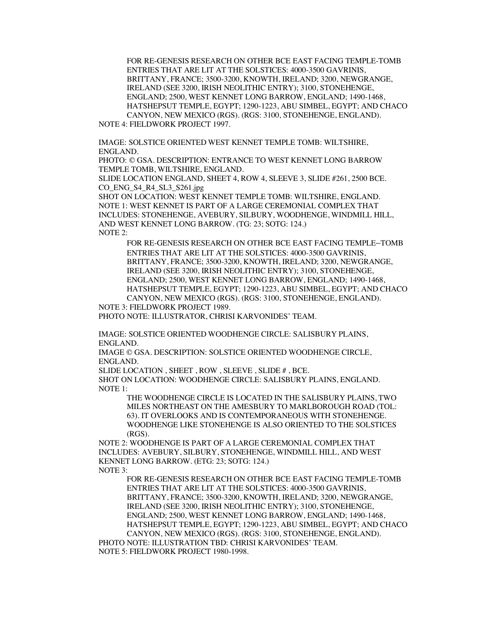FOR RE-GENESIS RESEARCH ON OTHER BCE EAST FACING TEMPLE-TOMB ENTRIES THAT ARE LIT AT THE SOLSTICES: 4000-3500 GAVRINIS, BRITTANY, FRANCE; 3500-3200, KNOWTH, IRELAND; 3200, NEWGRANGE, IRELAND (SEE 3200, IRISH NEOLITHIC ENTRY); 3100, STONEHENGE, ENGLAND; 2500, WEST KENNET LONG BARROW, ENGLAND; 1490-1468, HATSHEPSUT TEMPLE, EGYPT; 1290-1223, ABU SIMBEL, EGYPT; AND CHACO CANYON, NEW MEXICO (RGS). (RGS: 3100, STONEHENGE, ENGLAND).

NOTE 4: FIELDWORK PROJECT 1997.

IMAGE: SOLSTICE ORIENTED WEST KENNET TEMPLE TOMB: WILTSHIRE, ENGLAND.

PHOTO: © GSA. DESCRIPTION: ENTRANCE TO WEST KENNET LONG BARROW TEMPLE TOMB, WILTSHIRE, ENGLAND.

SLIDE LOCATION ENGLAND, SHEET 4, ROW 4, SLEEVE 3, SLIDE #261, 2500 BCE. CO\_ENG\_S4\_R4\_SL3\_S261.jpg

SHOT ON LOCATION: WEST KENNET TEMPLE TOMB: WILTSHIRE, ENGLAND. NOTE 1: WEST KENNET IS PART OF A LARGE CEREMONIAL COMPLEX THAT INCLUDES: STONEHENGE, AVEBURY, SILBURY, WOODHENGE, WINDMILL HILL, AND WEST KENNET LONG BARROW. (TG: 23; SOTG: 124.) NOTE 2:

FOR RE-GENESIS RESEARCH ON OTHER BCE EAST FACING TEMPLE–TOMB ENTRIES THAT ARE LIT AT THE SOLSTICES: 4000-3500 GAVRINIS, BRITTANY, FRANCE; 3500-3200, KNOWTH, IRELAND; 3200, NEWGRANGE, IRELAND (SEE 3200, IRISH NEOLITHIC ENTRY); 3100, STONEHENGE, ENGLAND; 2500, WEST KENNET LONG BARROW, ENGLAND; 1490-1468, HATSHEPSUT TEMPLE, EGYPT; 1290-1223, ABU SIMBEL, EGYPT; AND CHACO CANYON, NEW MEXICO (RGS). (RGS: 3100, STONEHENGE, ENGLAND).

NOTE 3: FIELDWORK PROJECT 1989. PHOTO NOTE: ILLUSTRATOR, CHRISI KARVONIDES' TEAM.

IMAGE: SOLSTICE ORIENTED WOODHENGE CIRCLE: SALISBURY PLAINS, ENGLAND.

IMAGE © GSA. DESCRIPTION: SOLSTICE ORIENTED WOODHENGE CIRCLE, ENGLAND.

SLIDE LOCATION , SHEET , ROW , SLEEVE , SLIDE # , BCE. SHOT ON LOCATION: WOODHENGE CIRCLE: SALISBURY PLAINS, ENGLAND. NOTE 1:

THE WOODHENGE CIRCLE IS LOCATED IN THE SALISBURY PLAINS, TWO MILES NORTHEAST ON THE AMESBURY TO MARLBOROUGH ROAD (TOL: 63). IT OVERLOOKS AND IS CONTEMPORANEOUS WITH STONEHENGE. WOODHENGE LIKE STONEHENGE IS ALSO ORIENTED TO THE SOLSTICES (RGS).

NOTE 2: WOODHENGE IS PART OF A LARGE CEREMONIAL COMPLEX THAT INCLUDES: AVEBURY, SILBURY, STONEHENGE, WINDMILL HILL, AND WEST KENNET LONG BARROW. (ETG: 23; SOTG: 124.) NOTE 3:

FOR RE-GENESIS RESEARCH ON OTHER BCE EAST FACING TEMPLE-TOMB ENTRIES THAT ARE LIT AT THE SOLSTICES: 4000-3500 GAVRINIS, BRITTANY, FRANCE; 3500-3200, KNOWTH, IRELAND; 3200, NEWGRANGE, IRELAND (SEE 3200, IRISH NEOLITHIC ENTRY); 3100, STONEHENGE, ENGLAND; 2500, WEST KENNET LONG BARROW, ENGLAND; 1490-1468, HATSHEPSUT TEMPLE, EGYPT; 1290-1223, ABU SIMBEL, EGYPT; AND CHACO CANYON, NEW MEXICO (RGS). (RGS: 3100, STONEHENGE, ENGLAND).

PHOTO NOTE: ILLUSTRATION TBD: CHRISI KARVONIDES' TEAM. NOTE 5: FIELDWORK PROJECT 1980-1998.